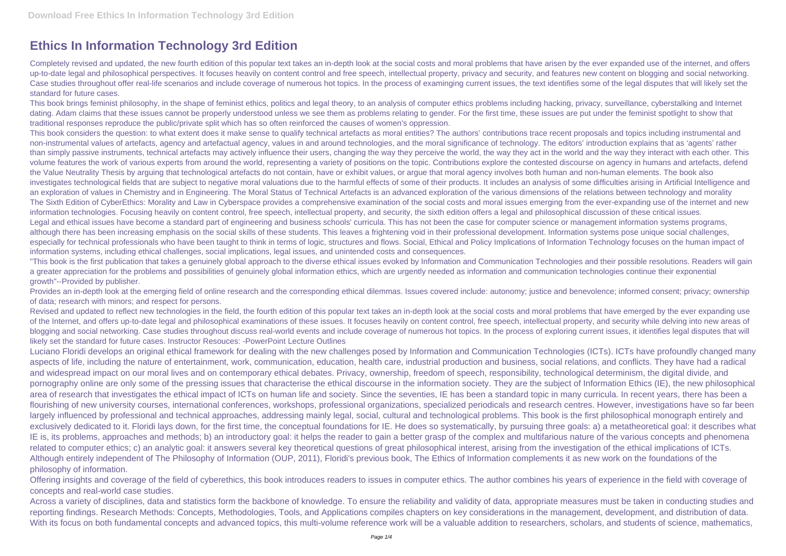## **Ethics In Information Technology 3rd Edition**

Completely revised and updated, the new fourth edition of this popular text takes an in-depth look at the social costs and moral problems that have arisen by the ever expanded use of the internet, and offers up-to-date legal and philosophical perspectives. It focuses heavily on content control and free speech, intellectual property, privacy and security, and features new content on blogging and social networking. Case studies throughout offer real-life scenarios and include coverage of numerous hot topics. In the process of examinging current issues, the text identifies some of the legal disputes that will likely set the standard for future cases.

This book brings feminist philosophy, in the shape of feminist ethics, politics and legal theory, to an analysis of computer ethics problems including hacking, privacy, surveillance, cyberstalking and Internet dating. Adam claims that these issues cannot be properly understood unless we see them as problems relating to gender. For the first time, these issues are put under the feminist spotlight to show that traditional responses reproduce the public/private split which has so often reinforced the causes of women's oppression.

"This book is the first publication that takes a genuinely global approach to the diverse ethical issues evoked by Information and Communication Technologies and their possible resolutions. Readers will gain a greater appreciation for the problems and possibilities of genuinely global information ethics, which are urgently needed as information and communication technologies continue their exponential growth"--Provided by publisher.

Provides an in-depth look at the emerging field of online research and the corresponding ethical dilemmas. Issues covered include: autonomy; justice and benevolence; informed consent; privacy; ownership of data; research with minors; and respect for persons.

This book considers the question: to what extent does it make sense to qualify technical artefacts as moral entities? The authors' contributions trace recent proposals and topics including instrumental and non-instrumental values of artefacts, agency and artefactual agency, values in and around technologies, and the moral significance of technology. The editors' introduction explains that as 'agents' rather than simply passive instruments, technical artefacts may actively influence their users, changing the way they perceive the world, the way they act in the world and the way they interact with each other. This volume features the work of various experts from around the world, representing a variety of positions on the topic. Contributions explore the contested discourse on agency in humans and artefacts, defend the Value Neutrality Thesis by arguing that technological artefacts do not contain, have or exhibit values, or argue that moral agency involves both human and non-human elements. The book also investigates technological fields that are subject to negative moral valuations due to the harmful effects of some of their products. It includes an analysis of some difficulties arising in Artificial Intelligence and an exploration of values in Chemistry and in Engineering. The Moral Status of Technical Artefacts is an advanced exploration of the various dimensions of the relations between technology and morality The Sixth Edition of CyberEthics: Morality and Law in Cyberspace provides a comprehensive examination of the social costs and moral issues emerging from the ever-expanding use of the internet and new information technologies. Focusing heavily on content control, free speech, intellectual property, and security, the sixth edition offers a legal and philosophical discussion of these critical issues. Legal and ethical issues have become a standard part of engineering and business schools' curricula. This has not been the case for computer science or management information systems programs, although there has been increasing emphasis on the social skills of these students. This leaves a frightening void in their professional development. Information systems pose unique social challenges, especially for technical professionals who have been taught to think in terms of logic, structures and flows. Social, Ethical and Policy Implications of Information Technology focuses on the human impact of information systems, including ethical challenges, social implications, legal issues, and unintended costs and consequences.

Revised and updated to reflect new technologies in the field, the fourth edition of this popular text takes an in-depth look at the social costs and moral problems that have emerged by the ever expanding use of the Internet, and offers up-to-date legal and philosophical examinations of these issues. It focuses heavily on content control, free speech, intellectual property, and security while delving into new areas of blogging and social networking. Case studies throughout discuss real-world events and include coverage of numerous hot topics. In the process of exploring current issues, it identifies legal disputes that will likely set the standard for future cases. Instructor Resouces: -PowerPoint Lecture Outlines

Luciano Floridi develops an original ethical framework for dealing with the new challenges posed by Information and Communication Technologies (ICTs). ICTs have profoundly changed many aspects of life, including the nature of entertainment, work, communication, education, health care, industrial production and business, social relations, and conflicts. They have had a radical and widespread impact on our moral lives and on contemporary ethical debates. Privacy, ownership, freedom of speech, responsibility, technological determinism, the digital divide, and pornography online are only some of the pressing issues that characterise the ethical discourse in the information society. They are the subject of Information Ethics (IE), the new philosophical area of research that investigates the ethical impact of ICTs on human life and society. Since the seventies, IE has been a standard topic in many curricula. In recent years, there has been a flourishing of new university courses, international conferences, workshops, professional organizations, specialized periodicals and research centres. However, investigations have so far been largely influenced by professional and technical approaches, addressing mainly legal, social, cultural and technological problems. This book is the first philosophical monograph entirely and exclusively dedicated to it. Floridi lays down, for the first time, the conceptual foundations for IE. He does so systematically, by pursuing three goals: a) a metatheoretical goal: it describes what IE is, its problems, approaches and methods; b) an introductory goal: it helps the reader to gain a better grasp of the complex and multifarious nature of the various concepts and phenomena related to computer ethics; c) an analytic goal: it answers several key theoretical questions of great philosophical interest, arising from the investigation of the ethical implications of ICTs. Although entirely independent of The Philosophy of Information (OUP, 2011), Floridi's previous book, The Ethics of Information complements it as new work on the foundations of the philosophy of information.

Offering insights and coverage of the field of cyberethics, this book introduces readers to issues in computer ethics. The author combines his years of experience in the field with coverage of concepts and real-world case studies.

Across a variety of disciplines, data and statistics form the backbone of knowledge. To ensure the reliability and validity of data, appropriate measures must be taken in conducting studies and reporting findings. Research Methods: Concepts, Methodologies, Tools, and Applications compiles chapters on key considerations in the management, development, and distribution of data. With its focus on both fundamental concepts and advanced topics, this multi-volume reference work will be a valuable addition to researchers, scholars, and students of science, mathematics,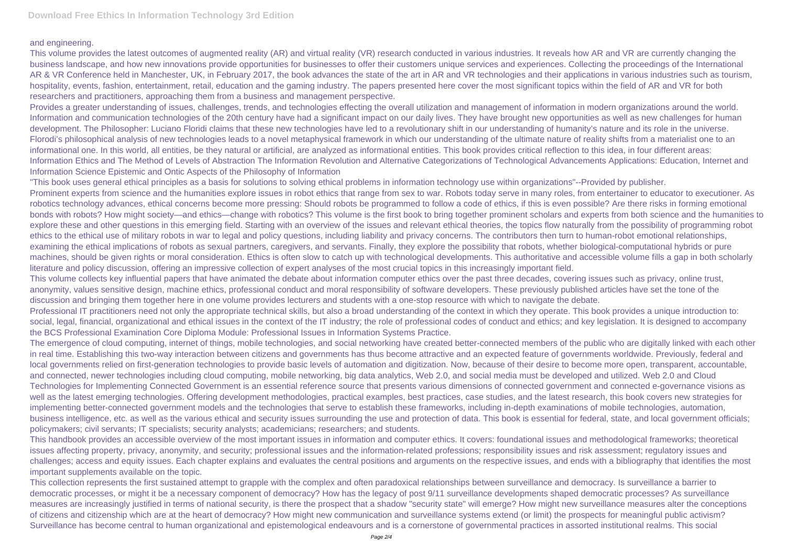## and engineering.

This volume provides the latest outcomes of augmented reality (AR) and virtual reality (VR) research conducted in various industries. It reveals how AR and VR are currently changing the business landscape, and how new innovations provide opportunities for businesses to offer their customers unique services and experiences. Collecting the proceedings of the International AR & VR Conference held in Manchester, UK, in February 2017, the book advances the state of the art in AR and VR technologies and their applications in various industries such as tourism, hospitality, events, fashion, entertainment, retail, education and the gaming industry. The papers presented here cover the most significant topics within the field of AR and VR for both researchers and practitioners, approaching them from a business and management perspective.

Provides a greater understanding of issues, challenges, trends, and technologies effecting the overall utilization and management of information in modern organizations around the world. Information and communication technologies of the 20th century have had a significant impact on our daily lives. They have brought new opportunities as well as new challenges for human development. The Philosopher: Luciano Floridi claims that these new technologies have led to a revolutionary shift in our understanding of humanity's nature and its role in the universe. Florodi's philosophical analysis of new technologies leads to a novel metaphysical framework in which our understanding of the ultimate nature of reality shifts from a materialist one to an informational one. In this world, all entities, be they natural or artificial, are analyzed as informational entities. This book provides critical reflection to this idea, in four different areas: Information Ethics and The Method of Levels of Abstraction The Information Revolution and Alternative Categorizations of Technological Advancements Applications: Education, Internet and Information Science Epistemic and Ontic Aspects of the Philosophy of Information

"This book uses general ethical principles as a basis for solutions to solving ethical problems in information technology use within organizations"--Provided by publisher. Prominent experts from science and the humanities explore issues in robot ethics that range from sex to war. Robots today serve in many roles, from entertainer to educator to executioner. As robotics technology advances, ethical concerns become more pressing: Should robots be programmed to follow a code of ethics, if this is even possible? Are there risks in forming emotional bonds with robots? How might society—and ethics—change with robotics? This volume is the first book to bring together prominent scholars and experts from both science and the humanities to explore these and other questions in this emerging field. Starting with an overview of the issues and relevant ethical theories, the topics flow naturally from the possibility of programming robot ethics to the ethical use of military robots in war to legal and policy questions, including liability and privacy concerns. The contributors then turn to human-robot emotional relationships, examining the ethical implications of robots as sexual partners, caregivers, and servants. Finally, they explore the possibility that robots, whether biological-computational hybrids or pure machines, should be given rights or moral consideration. Ethics is often slow to catch up with technological developments. This authoritative and accessible volume fills a gap in both scholarly literature and policy discussion, offering an impressive collection of expert analyses of the most crucial topics in this increasingly important field.

This volume collects key influential papers that have animated the debate about information computer ethics over the past three decades, covering issues such as privacy, online trust, anonymity, values sensitive design, machine ethics, professional conduct and moral responsibility of software developers. These previously published articles have set the tone of the discussion and bringing them together here in one volume provides lecturers and students with a one-stop resource with which to navigate the debate. Professional IT practitioners need not only the appropriate technical skills, but also a broad understanding of the context in which they operate. This book provides a unique introduction to: social, legal, financial, organizational and ethical issues in the context of the IT industry; the role of professional codes of conduct and ethics; and key legislation. It is designed to accompany the BCS Professional Examination Core Diploma Module: Professional Issues in Information Systems Practice.

The emergence of cloud computing, internet of things, mobile technologies, and social networking have created better-connected members of the public who are digitally linked with each other in real time. Establishing this two-way interaction between citizens and governments has thus become attractive and an expected feature of governments worldwide. Previously, federal and local governments relied on first-generation technologies to provide basic levels of automation and digitization. Now, because of their desire to become more open, transparent, accountable, and connected, newer technologies including cloud computing, mobile networking, big data analytics, Web 2.0, and social media must be developed and utilized. Web 2.0 and Cloud Technologies for Implementing Connected Government is an essential reference source that presents various dimensions of connected government and connected e-governance visions as well as the latest emerging technologies. Offering development methodologies, practical examples, best practices, case studies, and the latest research, this book covers new strategies for implementing better-connected government models and the technologies that serve to establish these frameworks, including in-depth examinations of mobile technologies, automation, business intelligence, etc. as well as the various ethical and security issues surrounding the use and protection of data. This book is essential for federal, state, and local government officials; policymakers; civil servants; IT specialists; security analysts; academicians; researchers; and students.

This handbook provides an accessible overview of the most important issues in information and computer ethics. It covers: foundational issues and methodological frameworks; theoretical issues affecting property, privacy, anonymity, and security; professional issues and the information-related professions; responsibility issues and risk assessment; regulatory issues and challenges; access and equity issues. Each chapter explains and evaluates the central positions and arguments on the respective issues, and ends with a bibliography that identifies the most important supplements available on the topic.

This collection represents the first sustained attempt to grapple with the complex and often paradoxical relationships between surveillance and democracy. Is surveillance a barrier to democratic processes, or might it be a necessary component of democracy? How has the legacy of post 9/11 surveillance developments shaped democratic processes? As surveillance measures are increasingly justified in terms of national security, is there the prospect that a shadow "security state" will emerge? How might new surveillance measures alter the conceptions of citizens and citizenship which are at the heart of democracy? How might new communication and surveillance systems extend (or limit) the prospects for meaningful public activism? Surveillance has become central to human organizational and epistemological endeavours and is a cornerstone of governmental practices in assorted institutional realms. This social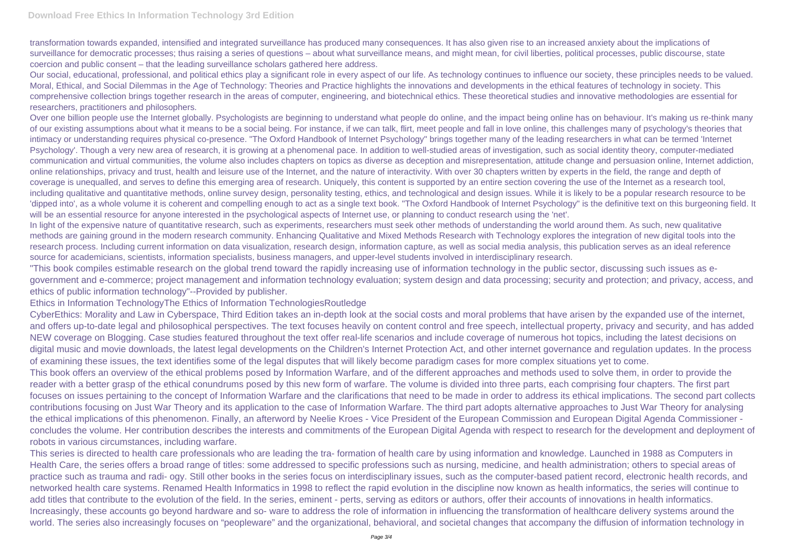transformation towards expanded, intensified and integrated surveillance has produced many consequences. It has also given rise to an increased anxiety about the implications of surveillance for democratic processes; thus raising a series of questions – about what surveillance means, and might mean, for civil liberties, political processes, public discourse, state coercion and public consent – that the leading surveillance scholars gathered here address.

Over one billion people use the Internet globally. Psychologists are beginning to understand what people do online, and the impact being online has on behaviour. It's making us re-think many of our existing assumptions about what it means to be a social being. For instance, if we can talk, flirt, meet people and fall in love online, this challenges many of psychology's theories that intimacy or understanding requires physical co-presence. "The Oxford Handbook of Internet Psychology" brings together many of the leading researchers in what can be termed 'Internet Psychology'. Though a very new area of research, it is growing at a phenomenal pace. In addition to well-studied areas of investigation, such as social identity theory, computer-mediated communication and virtual communities, the volume also includes chapters on topics as diverse as deception and misrepresentation, attitude change and persuasion online, Internet addiction, online relationships, privacy and trust, health and leisure use of the Internet, and the nature of interactivity. With over 30 chapters written by experts in the field, the range and depth of coverage is unequalled, and serves to define this emerging area of research. Uniquely, this content is supported by an entire section covering the use of the Internet as a research tool, including qualitative and quantitative methods, online survey design, personality testing, ethics, and technological and design issues. While it is likely to be a popular research resource to be 'dipped into', as a whole volume it is coherent and compelling enough to act as a single text book. "The Oxford Handbook of Internet Psychology" is the definitive text on this burgeoning field. It will be an essential resource for anyone interested in the psychological aspects of Internet use, or planning to conduct research using the 'net'.

Our social, educational, professional, and political ethics play a significant role in every aspect of our life. As technology continues to influence our society, these principles needs to be valued. Moral, Ethical, and Social Dilemmas in the Age of Technology: Theories and Practice highlights the innovations and developments in the ethical features of technology in society. This comprehensive collection brings together research in the areas of computer, engineering, and biotechnical ethics. These theoretical studies and innovative methodologies are essential for researchers, practitioners and philosophers.

In light of the expensive nature of quantitative research, such as experiments, researchers must seek other methods of understanding the world around them. As such, new qualitative methods are gaining ground in the modern research community. Enhancing Qualitative and Mixed Methods Research with Technology explores the integration of new digital tools into the research process. Including current information on data visualization, research design, information capture, as well as social media analysis, this publication serves as an ideal reference source for academicians, scientists, information specialists, business managers, and upper-level students involved in interdisciplinary research.

"This book compiles estimable research on the global trend toward the rapidly increasing use of information technology in the public sector, discussing such issues as egovernment and e-commerce; project management and information technology evaluation; system design and data processing; security and protection; and privacy, access, and ethics of public information technology"--Provided by publisher.

Ethics in Information TechnologyThe Ethics of Information TechnologiesRoutledge

CyberEthics: Morality and Law in Cyberspace, Third Edition takes an in-depth look at the social costs and moral problems that have arisen by the expanded use of the internet, and offers up-to-date legal and philosophical perspectives. The text focuses heavily on content control and free speech, intellectual property, privacy and security, and has added NEW coverage on Blogging. Case studies featured throughout the text offer real-life scenarios and include coverage of numerous hot topics, including the latest decisions on digital music and movie downloads, the latest legal developments on the Children's Internet Protection Act, and other internet governance and regulation updates. In the process of examining these issues, the text identifies some of the legal disputes that will likely become paradigm cases for more complex situations yet to come. This book offers an overview of the ethical problems posed by Information Warfare, and of the different approaches and methods used to solve them, in order to provide the reader with a better grasp of the ethical conundrums posed by this new form of warfare. The volume is divided into three parts, each comprising four chapters. The first part focuses on issues pertaining to the concept of Information Warfare and the clarifications that need to be made in order to address its ethical implications. The second part collects contributions focusing on Just War Theory and its application to the case of Information Warfare. The third part adopts alternative approaches to Just War Theory for analysing the ethical implications of this phenomenon. Finally, an afterword by Neelie Kroes - Vice President of the European Commission and European Digital Agenda Commissioner concludes the volume. Her contribution describes the interests and commitments of the European Digital Agenda with respect to research for the development and deployment of robots in various circumstances, including warfare.

This series is directed to health care professionals who are leading the tra- formation of health care by using information and knowledge. Launched in 1988 as Computers in Health Care, the series offers a broad range of titles: some addressed to specific professions such as nursing, medicine, and health administration; others to special areas of practice such as trauma and radi- ogy. Still other books in the series focus on interdisciplinary issues, such as the computer-based patient record, electronic health records, and networked health care systems. Renamed Health Informatics in 1998 to reflect the rapid evolution in the discipline now known as health informatics, the series will continue to add titles that contribute to the evolution of the field. In the series, eminent - perts, serving as editors or authors, offer their accounts of innovations in health informatics. Increasingly, these accounts go beyond hardware and so- ware to address the role of information in influencing the transformation of healthcare delivery systems around the world. The series also increasingly focuses on "peopleware" and the organizational, behavioral, and societal changes that accompany the diffusion of information technology in